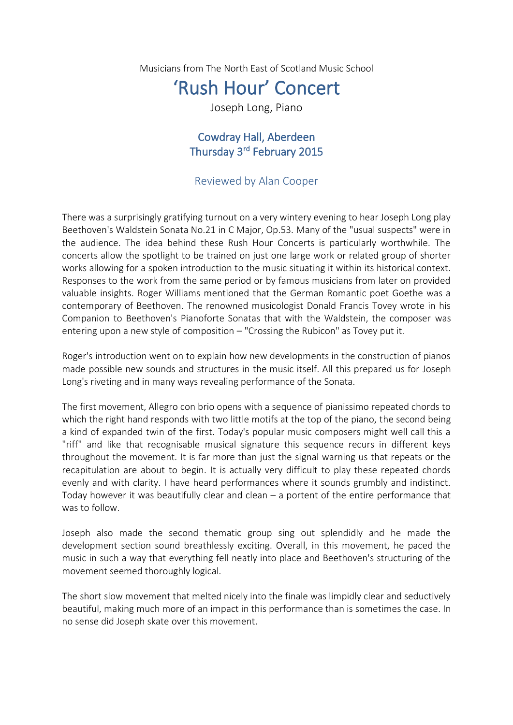Musicians from The North East of Scotland Music School

## 'Rush Hour' Concert

Joseph Long, Piano

## Cowdray Hall, Aberdeen Thursday 3<sup>rd</sup> February 2015

## Reviewed by Alan Cooper

There was a surprisingly gratifying turnout on a very wintery evening to hear Joseph Long play Beethoven's Waldstein Sonata No.21 in C Major, Op.53. Many of the "usual suspects" were in the audience. The idea behind these Rush Hour Concerts is particularly worthwhile. The concerts allow the spotlight to be trained on just one large work or related group of shorter works allowing for a spoken introduction to the music situating it within its historical context. Responses to the work from the same period or by famous musicians from later on provided valuable insights. Roger Williams mentioned that the German Romantic poet Goethe was a contemporary of Beethoven. The renowned musicologist Donald Francis Tovey wrote in his Companion to Beethoven's Pianoforte Sonatas that with the Waldstein, the composer was entering upon a new style of composition – "Crossing the Rubicon" as Tovey put it.

Roger's introduction went on to explain how new developments in the construction of pianos made possible new sounds and structures in the music itself. All this prepared us for Joseph Long's riveting and in many ways revealing performance of the Sonata.

The first movement, Allegro con brio opens with a sequence of pianissimo repeated chords to which the right hand responds with two little motifs at the top of the piano, the second being a kind of expanded twin of the first. Today's popular music composers might well call this a "riff" and like that recognisable musical signature this sequence recurs in different keys throughout the movement. It is far more than just the signal warning us that repeats or the recapitulation are about to begin. It is actually very difficult to play these repeated chords evenly and with clarity. I have heard performances where it sounds grumbly and indistinct. Today however it was beautifully clear and clean – a portent of the entire performance that was to follow.

Joseph also made the second thematic group sing out splendidly and he made the development section sound breathlessly exciting. Overall, in this movement, he paced the music in such a way that everything fell neatly into place and Beethoven's structuring of the movement seemed thoroughly logical.

The short slow movement that melted nicely into the finale was limpidly clear and seductively beautiful, making much more of an impact in this performance than is sometimes the case. In no sense did Joseph skate over this movement.